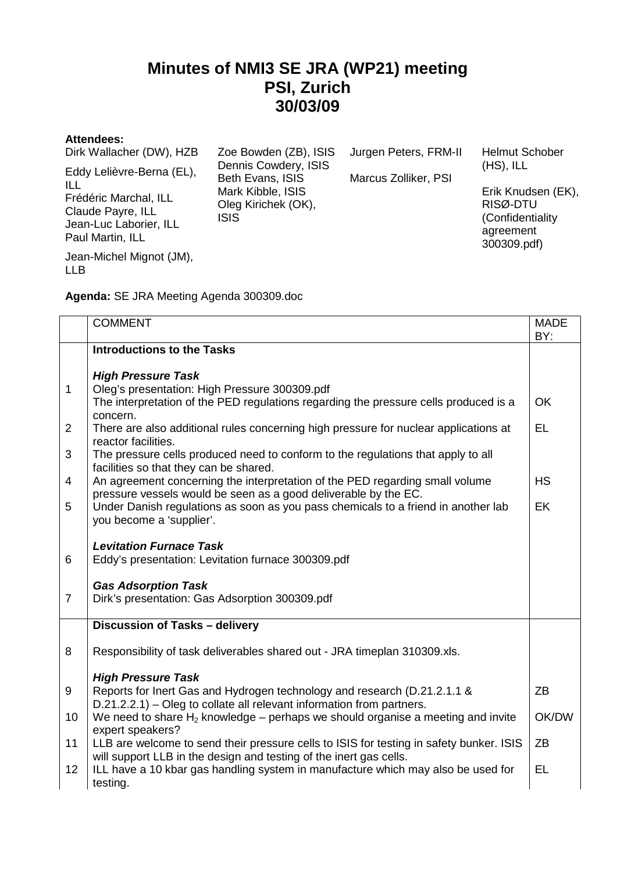## **Minutes of NMI3 SE JRA (WP21) meeting PSI, Zurich 30/03/09**

## **Attendees:**

| Dirk Wallacher (DW), HZB                                                                                                     | Zoe Bowden (ZB), ISIS<br>Dennis Cowdery, ISIS                               | Jurgen Peters, FRM-II | <b>Helmut Schober</b><br>$(HS)$ , ILL                                          |
|------------------------------------------------------------------------------------------------------------------------------|-----------------------------------------------------------------------------|-----------------------|--------------------------------------------------------------------------------|
| Eddy Lelièvre-Berna (EL),<br>ILL<br>Frédéric Marchal, ILL<br>Claude Payre, ILL<br>Jean-Luc Laborier, ILL<br>Paul Martin, ILL | Beth Evans, ISIS<br>Mark Kibble, ISIS<br>Oleg Kirichek (OK),<br><b>ISIS</b> | Marcus Zolliker, PSI  | Erik Knudsen (EK),<br>RISØ-DTU<br>(Confidentiality<br>agreement<br>300309.pdf) |
| Jean-Michel Mignot (JM),<br><b>LLB</b>                                                                                       |                                                                             |                       |                                                                                |

**Agenda:** SE JRA Meeting Agenda 300309.doc

|                | <b>COMMENT</b>                                                                                                                                    | <b>MADE</b> |
|----------------|---------------------------------------------------------------------------------------------------------------------------------------------------|-------------|
|                | <b>Introductions to the Tasks</b>                                                                                                                 | BY:         |
|                |                                                                                                                                                   |             |
|                | <b>High Pressure Task</b>                                                                                                                         |             |
| $\mathbf{1}$   | Oleg's presentation: High Pressure 300309.pdf                                                                                                     |             |
|                | The interpretation of the PED regulations regarding the pressure cells produced is a<br>concern.                                                  | OK          |
| $\overline{2}$ | There are also additional rules concerning high pressure for nuclear applications at                                                              | EL          |
|                | reactor facilities.                                                                                                                               |             |
| 3              | The pressure cells produced need to conform to the regulations that apply to all                                                                  |             |
|                | facilities so that they can be shared.                                                                                                            |             |
| $\overline{4}$ | An agreement concerning the interpretation of the PED regarding small volume<br>pressure vessels would be seen as a good deliverable by the EC.   | <b>HS</b>   |
| 5              | Under Danish regulations as soon as you pass chemicals to a friend in another lab                                                                 | EK          |
|                | you become a 'supplier'.                                                                                                                          |             |
|                |                                                                                                                                                   |             |
| 6              | <b>Levitation Furnace Task</b>                                                                                                                    |             |
|                | Eddy's presentation: Levitation furnace 300309.pdf                                                                                                |             |
|                | <b>Gas Adsorption Task</b>                                                                                                                        |             |
| $\overline{7}$ | Dirk's presentation: Gas Adsorption 300309.pdf                                                                                                    |             |
|                | Discussion of Tasks - delivery                                                                                                                    |             |
|                |                                                                                                                                                   |             |
| 8              | Responsibility of task deliverables shared out - JRA timeplan 310309.xls.                                                                         |             |
|                |                                                                                                                                                   |             |
|                | <b>High Pressure Task</b>                                                                                                                         |             |
| 9              | Reports for Inert Gas and Hydrogen technology and research (D.21.2.1.1 &<br>D.21.2.2.1) – Oleg to collate all relevant information from partners. | ZB          |
| 10             | We need to share $H_2$ knowledge – perhaps we should organise a meeting and invite                                                                | OK/DW       |
|                | expert speakers?                                                                                                                                  |             |
| 11             | LLB are welcome to send their pressure cells to ISIS for testing in safety bunker. ISIS                                                           | ZB          |
|                | will support LLB in the design and testing of the inert gas cells.                                                                                |             |
| 12             | ILL have a 10 kbar gas handling system in manufacture which may also be used for<br>testing.                                                      | EL          |
|                |                                                                                                                                                   |             |